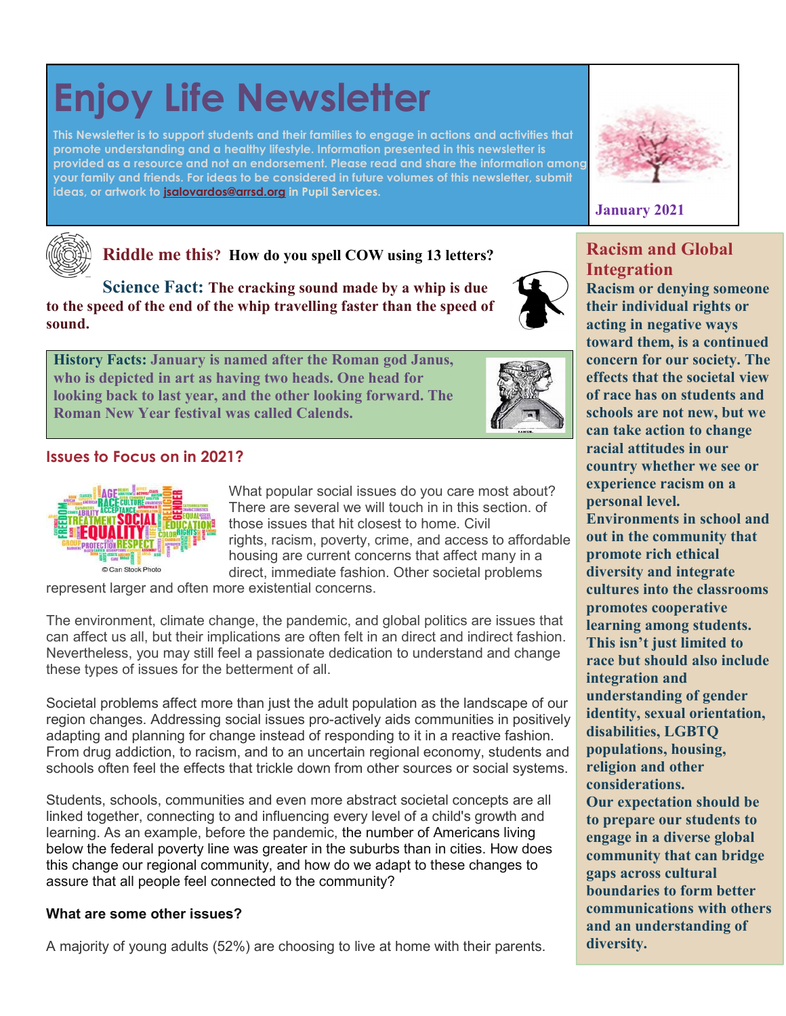# Enjoy Life Newsletter

This Newsletter is to support students and their families to engage in actions and activities that promote understanding and a healthy lifestyle. Information presented in this newsletter is provided as a resource and not an endorsement. Please read and share the information among your family and friends. For ideas to be considered in future volumes of this newsletter, submit ideas, or artwork to jsalovardos@arrsd.org in Pupil Services.



Racism and Global





Riddle me this? How do you spell COW using 13 letters?

Science Fact: The cracking sound made by a whip is due to the speed of the end of the whip travelling faster than the speed of sound.

History Facts: January is named after the Roman god Janus, who is depicted in art as having two heads. One head for looking back to last year, and the other looking forward. The Roman New Year festival was called Calends.



### Issues to Focus on in 2021?



What popular social issues do you care most about? There are several we will touch in in this section. of those issues that hit closest to home. Civil rights, racism, poverty, crime, and access to affordable housing are current concerns that affect many in a direct, immediate fashion. Other societal problems

represent larger and often more existential concerns.

The environment, climate change, the pandemic, and global politics are issues that can affect us all, but their implications are often felt in an direct and indirect fashion. Nevertheless, you may still feel a passionate dedication to understand and change these types of issues for the betterment of all.

Societal problems affect more than just the adult population as the landscape of our region changes. Addressing social issues pro-actively aids communities in positively adapting and planning for change instead of responding to it in a reactive fashion. From drug addiction, to racism, and to an uncertain regional economy, students and schools often feel the effects that trickle down from other sources or social systems.

Students, schools, communities and even more abstract societal concepts are all linked together, connecting to and influencing every level of a child's growth and learning. As an example, before the pandemic, the number of Americans living below the federal poverty line was greater in the suburbs than in cities. How does this change our regional community, and how do we adapt to these changes to assure that all people feel connected to the community?

#### What are some other issues?

A majority of young adults (52%) are choosing to live at home with their parents.

**Integration** Racism or denying someone their individual rights or acting in negative ways toward them, is a continued concern for our society. The effects that the societal view of race has on students and schools are not new, but we can take action to change racial attitudes in our country whether we see or experience racism on a personal level. Environments in school and out in the community that promote rich ethical diversity and integrate cultures into the classrooms promotes cooperative learning among students. This isn't just limited to race but should also include integration and understanding of gender identity, sexual orientation, disabilities, LGBTQ populations, housing, religion and other considerations. Our expectation should be to prepare our students to engage in a diverse global community that can bridge gaps across cultural boundaries to form better communications with others and an understanding of diversity.